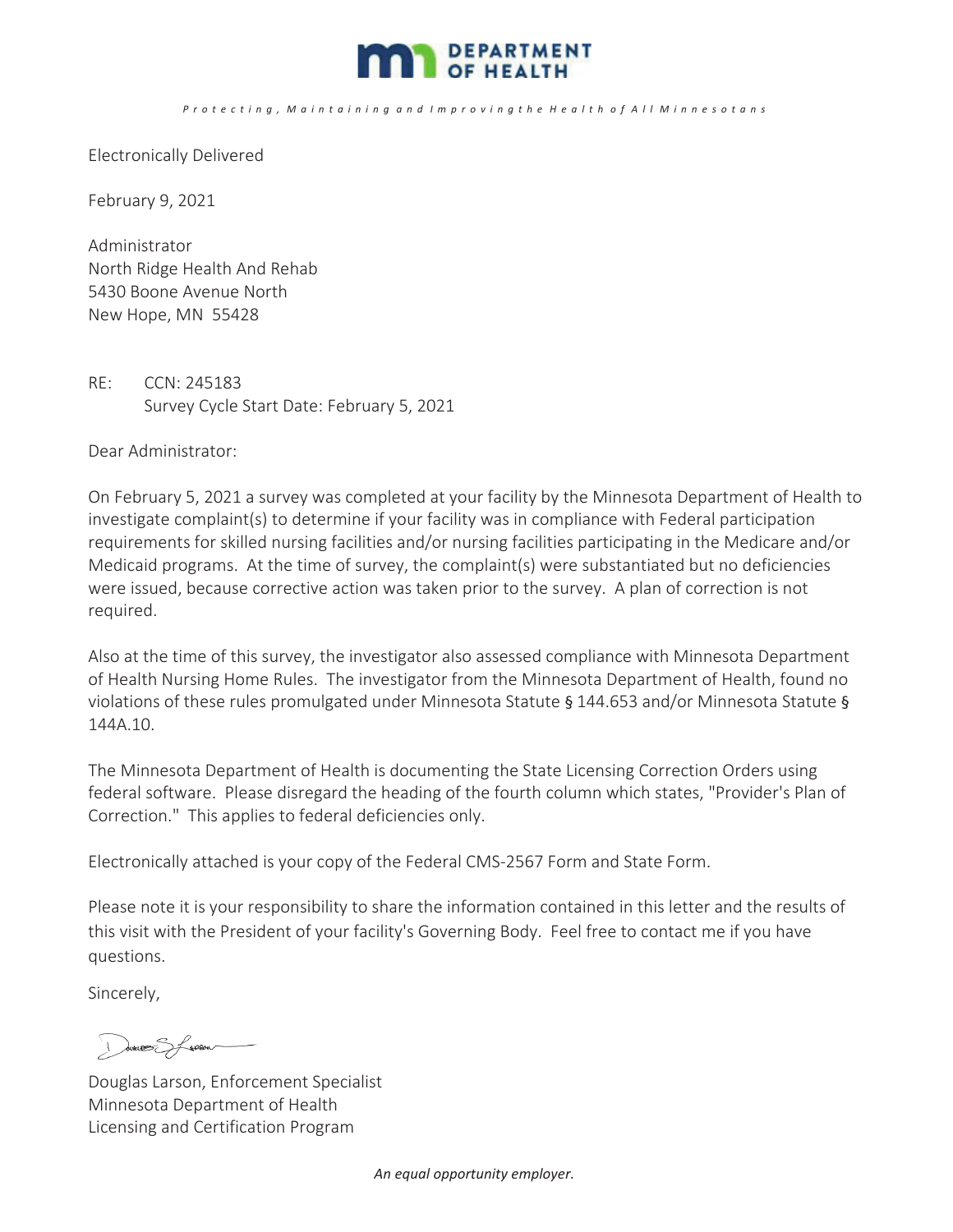

## Protecting, Maintaining and Improving the Health of All Minnesotans

Electronically Delivered

February 9, 2021

Administrator North Ridge Health And Rehab 5430 Boone Avenue North New Hope, MN 55428

RE: CCN: 245183 Survey Cycle Start Date: February 5, 2021

Dear Administrator:

On February 5, 2021 a survey was completed at your facility by the Minnesota Department of Health to investigate complaint(s) to determine if your facility was in compliance with Federal participation requirements for skilled nursing facilities and/or nursing facilities participating in the Medicare and/or Medicaid programs. At the time of survey, the complaint(s) were substantiated but no deficiencies were issued, because corrective action was taken prior to the survey. A plan of correction is not required.

Also at the time of this survey, the investigator also assessed compliance with Minnesota Department of Health Nursing Home Rules. The investigator from the Minnesota Department of Health, found no violations of these rules promulgated under Minnesota Statute§144.653 and/or Minnesota Statute§ 144A.10.

The Minnesota Department of Health is documenting the State Licensing Correction Orders using federal software. Please disregard the heading of the fourth column which states, "Provider's Plan of Correction." This applies to federal deficiencies only.

Electronically attached is your copy of the Federal CMS-2567 Form and State Form.

Please note it is your responsibility to share the information contained in this letter and the results of this visit with the President of your facility's Governing Body. Feel free to contact me if you have questions.

Sincerely,

I were Sforen

Douglas Larson, Enforcement Specialist Minnesota Department of Health Licensing and Certification Program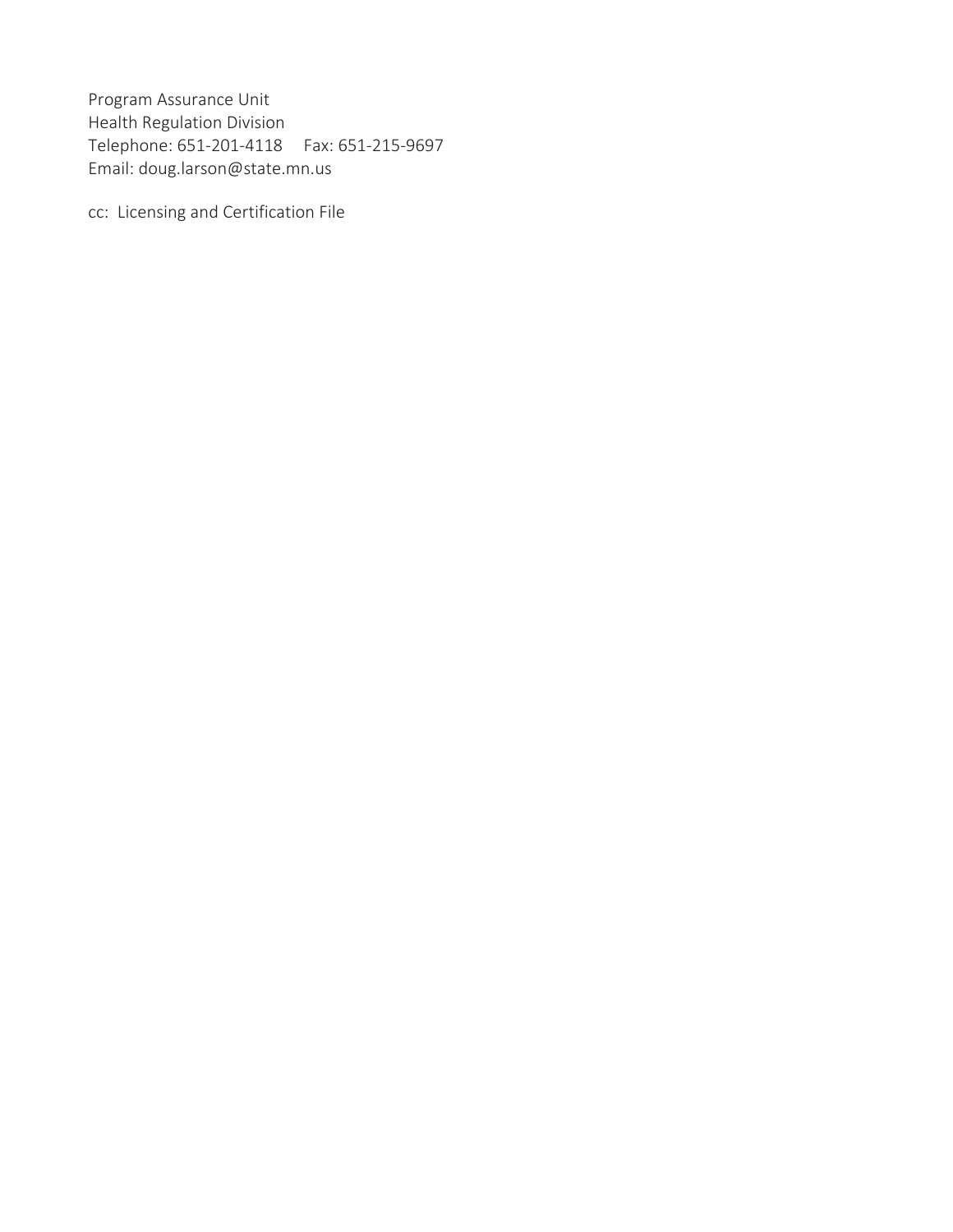Program Assurance Unit Health Regulation Division Telephone: 651-201-4118 Fax: 651-215-9697 Email: doug.larson@state.mn.us

cc: Licensing and Certification File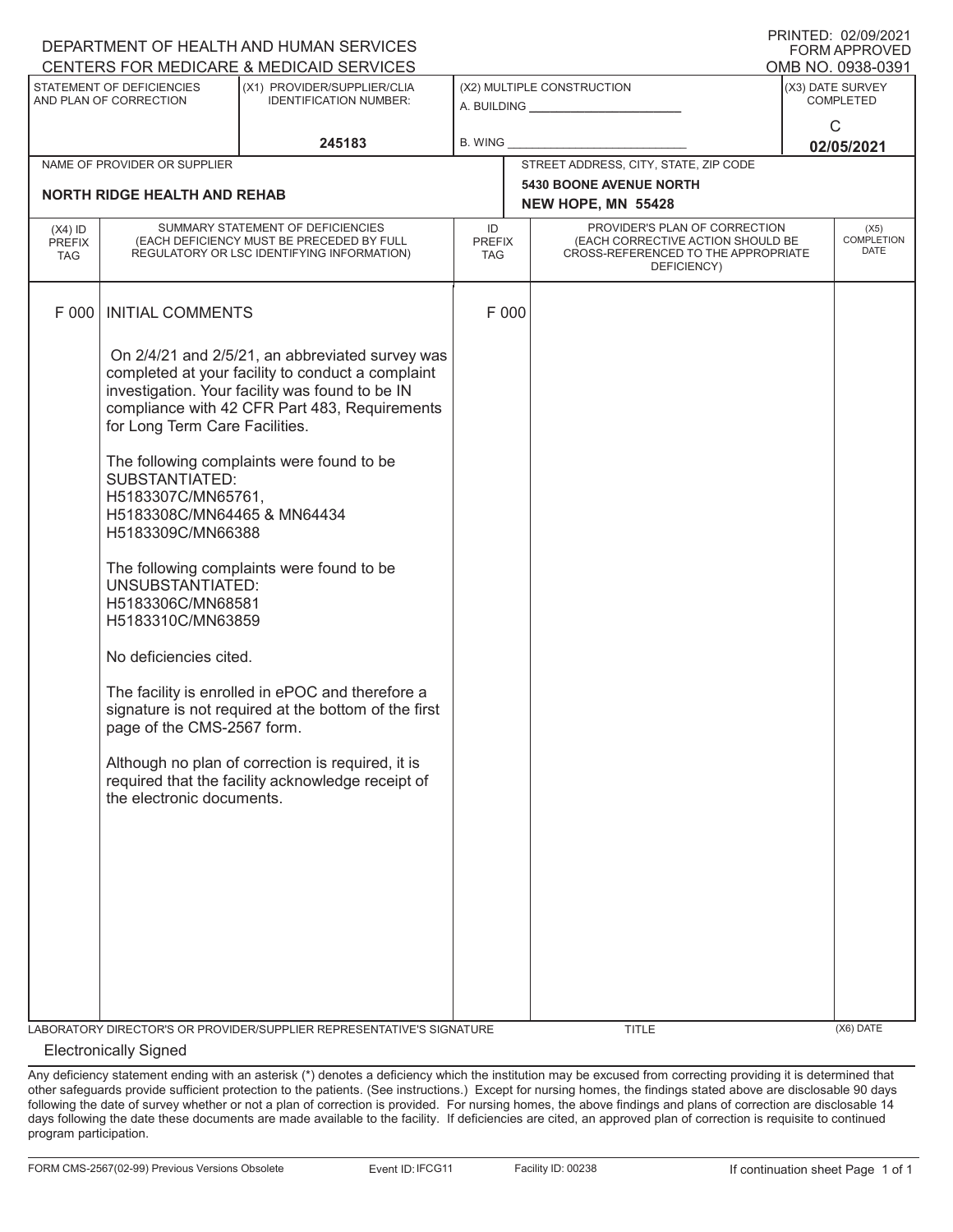| ▏▏\\I\\I∟D. <i>∪∠¦∪JI∠U</i> ∠ I<br>DEPARTMENT OF HEALTH AND HUMAN SERVICES<br><b>FORM APPROVED</b> |                                                                                                                                                                                                                                                                               |                                                                                                                                                                                                                                                                                                                                                                                                                                                                                                                          |                                   |                                                      |                                                                                                                          |                            |                                   |  |
|----------------------------------------------------------------------------------------------------|-------------------------------------------------------------------------------------------------------------------------------------------------------------------------------------------------------------------------------------------------------------------------------|--------------------------------------------------------------------------------------------------------------------------------------------------------------------------------------------------------------------------------------------------------------------------------------------------------------------------------------------------------------------------------------------------------------------------------------------------------------------------------------------------------------------------|-----------------------------------|------------------------------------------------------|--------------------------------------------------------------------------------------------------------------------------|----------------------------|-----------------------------------|--|
| CENTERS FOR MEDICARE & MEDICAID SERVICES<br>OMB NO. 0938-0391                                      |                                                                                                                                                                                                                                                                               |                                                                                                                                                                                                                                                                                                                                                                                                                                                                                                                          |                                   |                                                      |                                                                                                                          |                            |                                   |  |
| STATEMENT OF DEFICIENCIES<br>AND PLAN OF CORRECTION                                                |                                                                                                                                                                                                                                                                               | (X1) PROVIDER/SUPPLIER/CLIA<br><b>IDENTIFICATION NUMBER:</b>                                                                                                                                                                                                                                                                                                                                                                                                                                                             | (X2) MULTIPLE CONSTRUCTION        |                                                      | (X3) DATE SURVEY<br><b>COMPLETED</b>                                                                                     |                            |                                   |  |
|                                                                                                    |                                                                                                                                                                                                                                                                               | 245183                                                                                                                                                                                                                                                                                                                                                                                                                                                                                                                   | B. WING                           |                                                      |                                                                                                                          | $\mathsf{C}$<br>02/05/2021 |                                   |  |
|                                                                                                    | NAME OF PROVIDER OR SUPPLIER                                                                                                                                                                                                                                                  |                                                                                                                                                                                                                                                                                                                                                                                                                                                                                                                          |                                   | STREET ADDRESS, CITY, STATE, ZIP CODE                |                                                                                                                          |                            |                                   |  |
| <b>NORTH RIDGE HEALTH AND REHAB</b>                                                                |                                                                                                                                                                                                                                                                               |                                                                                                                                                                                                                                                                                                                                                                                                                                                                                                                          |                                   | <b>5430 BOONE AVENUE NORTH</b><br>NEW HOPE, MN 55428 |                                                                                                                          |                            |                                   |  |
| $(X4)$ ID<br><b>PREFIX</b><br><b>TAG</b>                                                           |                                                                                                                                                                                                                                                                               | SUMMARY STATEMENT OF DEFICIENCIES<br>(EACH DEFICIENCY MUST BE PRECEDED BY FULL<br>REGULATORY OR LSC IDENTIFYING INFORMATION)                                                                                                                                                                                                                                                                                                                                                                                             | ID<br><b>PREFIX</b><br><b>TAG</b> |                                                      | PROVIDER'S PLAN OF CORRECTION<br>(EACH CORRECTIVE ACTION SHOULD BE<br>CROSS-REFERENCED TO THE APPROPRIATE<br>DEFICIENCY) |                            | (X5)<br>COMPLETION<br><b>DATE</b> |  |
| F 000                                                                                              | <b>INITIAL COMMENTS</b>                                                                                                                                                                                                                                                       |                                                                                                                                                                                                                                                                                                                                                                                                                                                                                                                          |                                   | F 000                                                |                                                                                                                          |                            |                                   |  |
|                                                                                                    | for Long Term Care Facilities.<br>SUBSTANTIATED:<br>H5183307C/MN65761,<br>H5183308C/MN64465 & MN64434<br>H5183309C/MN66388<br>UNSUBSTANTIATED:<br>H5183306C/MN68581<br>H5183310C/MN63859<br>No deficiencies cited.<br>page of the CMS-2567 form.<br>the electronic documents. | On 2/4/21 and 2/5/21, an abbreviated survey was<br>completed at your facility to conduct a complaint<br>investigation. Your facility was found to be IN<br>compliance with 42 CFR Part 483, Requirements<br>The following complaints were found to be<br>The following complaints were found to be<br>The facility is enrolled in ePOC and therefore a<br>signature is not required at the bottom of the first<br>Although no plan of correction is required, it is<br>required that the facility acknowledge receipt of |                                   |                                                      |                                                                                                                          |                            |                                   |  |
|                                                                                                    |                                                                                                                                                                                                                                                                               | LABORATORY DIRECTOR'S OR PROVIDER/SUPPLIER REPRESENTATIVE'S SIGNATURE                                                                                                                                                                                                                                                                                                                                                                                                                                                    |                                   |                                                      | TITLE                                                                                                                    |                            | (X6) DATE                         |  |

## Electronically Signed

Any deficiency statement ending with an asterisk (\*) denotes a deficiency which the institution may be excused from correcting providing it is determined that other safeguards provide sufficient protection to the patients. (See instructions.) Except for nursing homes, the findings stated above are disclosable 90 days following the date of survey whether or not a plan of correction is provided. For nursing homes, the above findings and plans of correction are disclosable 14 days following the date these documents are made available to the facility. If deficiencies are cited, an approved plan of correction is requisite to continued program participation.

PRINTED: 02/09/2021  $F$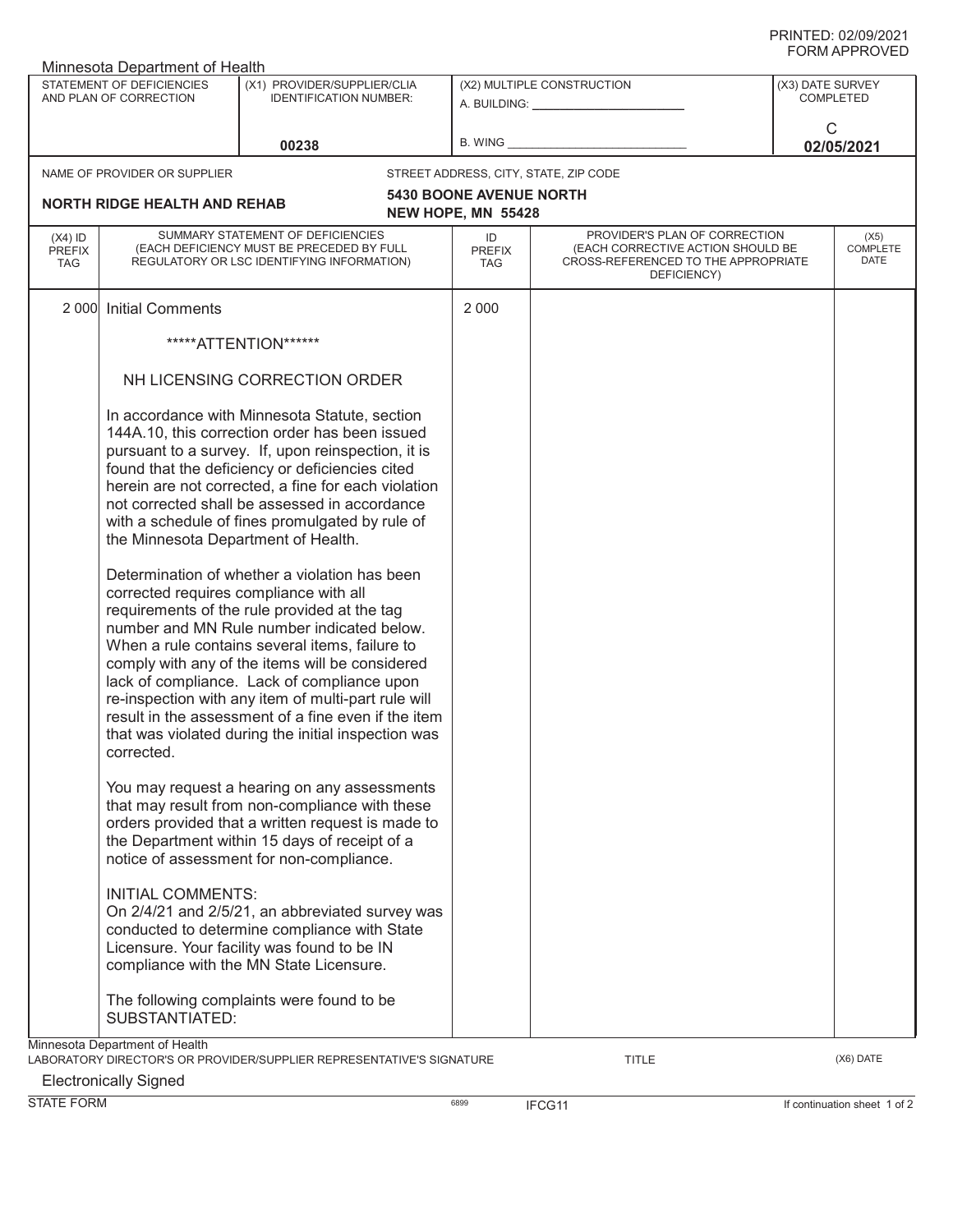| Minnesota Department of Health                                                                                      |                                                                               |                                                                                                                                                                                                                                                                                                                                                                                                                      |                                   |                                                                                                                          |   |                          |  |
|---------------------------------------------------------------------------------------------------------------------|-------------------------------------------------------------------------------|----------------------------------------------------------------------------------------------------------------------------------------------------------------------------------------------------------------------------------------------------------------------------------------------------------------------------------------------------------------------------------------------------------------------|-----------------------------------|--------------------------------------------------------------------------------------------------------------------------|---|--------------------------|--|
| STATEMENT OF DEFICIENCIES<br>(X1) PROVIDER/SUPPLIER/CLIA<br>AND PLAN OF CORRECTION<br><b>IDENTIFICATION NUMBER:</b> |                                                                               | (X2) MULTIPLE CONSTRUCTION<br>A. BUILDING: A. BUILDING:                                                                                                                                                                                                                                                                                                                                                              |                                   | (X3) DATE SURVEY<br><b>COMPLETED</b>                                                                                     |   |                          |  |
|                                                                                                                     |                                                                               | 00238                                                                                                                                                                                                                                                                                                                                                                                                                | <b>B. WING</b>                    |                                                                                                                          | C | 02/05/2021               |  |
|                                                                                                                     | NAME OF PROVIDER OR SUPPLIER                                                  |                                                                                                                                                                                                                                                                                                                                                                                                                      |                                   | STREET ADDRESS, CITY, STATE, ZIP CODE                                                                                    |   |                          |  |
|                                                                                                                     | <b>NORTH RIDGE HEALTH AND REHAB</b>                                           |                                                                                                                                                                                                                                                                                                                                                                                                                      | <b>5430 BOONE AVENUE NORTH</b>    |                                                                                                                          |   |                          |  |
|                                                                                                                     |                                                                               |                                                                                                                                                                                                                                                                                                                                                                                                                      | NEW HOPE, MN 55428                |                                                                                                                          |   |                          |  |
| $(X4)$ ID<br><b>PREFIX</b><br><b>TAG</b>                                                                            |                                                                               | SUMMARY STATEMENT OF DEFICIENCIES<br>(EACH DEFICIENCY MUST BE PRECEDED BY FULL<br>REGULATORY OR LSC IDENTIFYING INFORMATION)                                                                                                                                                                                                                                                                                         | ID<br><b>PREFIX</b><br><b>TAG</b> | PROVIDER'S PLAN OF CORRECTION<br>(EACH CORRECTIVE ACTION SHOULD BE<br>CROSS-REFERENCED TO THE APPROPRIATE<br>DEFICIENCY) |   | (X5)<br>COMPLETE<br>DATE |  |
| 2 0 0 0                                                                                                             | <b>Initial Comments</b>                                                       |                                                                                                                                                                                                                                                                                                                                                                                                                      | 2 0 0 0                           |                                                                                                                          |   |                          |  |
|                                                                                                                     |                                                                               | *****ATTENTION******                                                                                                                                                                                                                                                                                                                                                                                                 |                                   |                                                                                                                          |   |                          |  |
|                                                                                                                     |                                                                               | NH LICENSING CORRECTION ORDER                                                                                                                                                                                                                                                                                                                                                                                        |                                   |                                                                                                                          |   |                          |  |
|                                                                                                                     | the Minnesota Department of Health.<br>corrected requires compliance with all | In accordance with Minnesota Statute, section<br>144A.10, this correction order has been issued<br>pursuant to a survey. If, upon reinspection, it is<br>found that the deficiency or deficiencies cited<br>herein are not corrected, a fine for each violation<br>not corrected shall be assessed in accordance<br>with a schedule of fines promulgated by rule of<br>Determination of whether a violation has been |                                   |                                                                                                                          |   |                          |  |
|                                                                                                                     | corrected.                                                                    | requirements of the rule provided at the tag<br>number and MN Rule number indicated below.<br>When a rule contains several items, failure to<br>comply with any of the items will be considered<br>lack of compliance. Lack of compliance upon<br>re-inspection with any item of multi-part rule will<br>result in the assessment of a fine even if the item<br>that was violated during the initial inspection was  |                                   |                                                                                                                          |   |                          |  |
|                                                                                                                     |                                                                               | You may request a hearing on any assessments<br>that may result from non-compliance with these<br>orders provided that a written request is made to<br>the Department within 15 days of receipt of a<br>notice of assessment for non-compliance.                                                                                                                                                                     |                                   |                                                                                                                          |   |                          |  |
|                                                                                                                     | <b>INITIAL COMMENTS:</b>                                                      | On 2/4/21 and 2/5/21, an abbreviated survey was<br>conducted to determine compliance with State<br>Licensure. Your facility was found to be IN<br>compliance with the MN State Licensure.                                                                                                                                                                                                                            |                                   |                                                                                                                          |   |                          |  |
|                                                                                                                     | SUBSTANTIATED:                                                                | The following complaints were found to be                                                                                                                                                                                                                                                                                                                                                                            |                                   |                                                                                                                          |   |                          |  |
| Minnesota Department of Health<br>(X6) DATE                                                                         |                                                                               |                                                                                                                                                                                                                                                                                                                                                                                                                      |                                   |                                                                                                                          |   |                          |  |
| LABORATORY DIRECTOR'S OR PROVIDER/SUPPLIER REPRESENTATIVE'S SIGNATURE<br><b>TITLE</b>                               |                                                                               |                                                                                                                                                                                                                                                                                                                                                                                                                      |                                   |                                                                                                                          |   |                          |  |

Electronically Signed